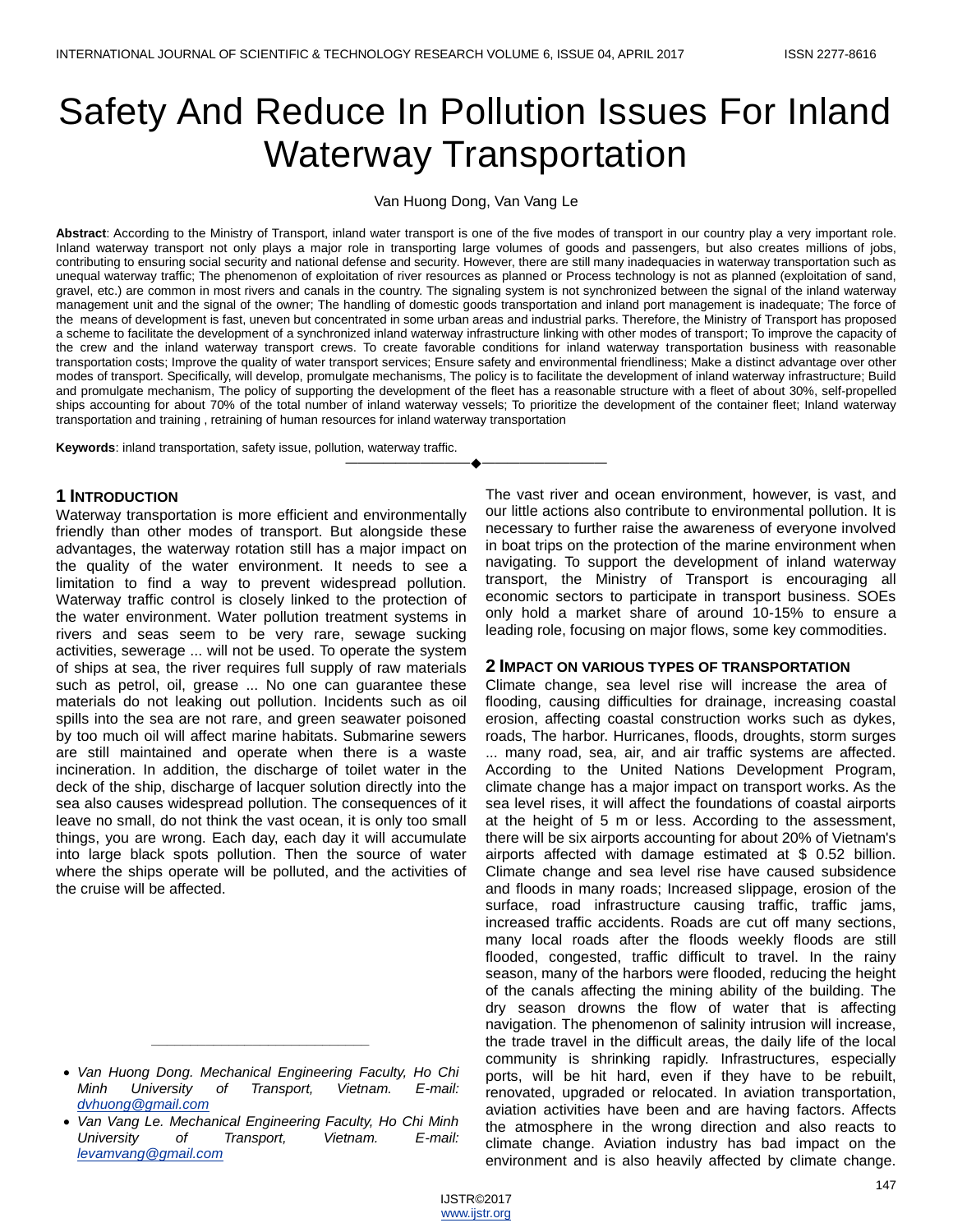# Safety And Reduce In Pollution Issues For Inland Waterway Transportation

Van Huong Dong, Van Vang Le

**Abstract**: According to the Ministry of Transport, inland water transport is one of the five modes of transport in our country play a very important role. Inland waterway transport not only plays a major role in transporting large volumes of goods and passengers, but also creates millions of jobs, contributing to ensuring social security and national defense and security. However, there are still many inadequacies in waterway transportation such as unequal waterway traffic; The phenomenon of exploitation of river resources as planned or Process technology is not as planned (exploitation of sand, gravel, etc.) are common in most rivers and canals in the country. The signaling system is not synchronized between the signal of the inland waterway management unit and the signal of the owner; The handling of domestic goods transportation and inland port management is inadequate; The force of the means of development is fast, uneven but concentrated in some urban areas and industrial parks. Therefore, the Ministry of Transport has proposed a scheme to facilitate the development of a synchronized inland waterway infrastructure linking with other modes of transport; To improve the capacity of the crew and the inland waterway transport crews. To create favorable conditions for inland waterway transportation business with reasonable transportation costs; Improve the quality of water transport services; Ensure safety and environmental friendliness; Make a distinct advantage over other modes of transport. Specifically, will develop, promulgate mechanisms, The policy is to facilitate the development of inland waterway infrastructure; Build and promulgate mechanism, The policy of supporting the development of the fleet has a reasonable structure with a fleet of about 30%, self-propelled ships accounting for about 70% of the total number of inland waterway vessels; To prioritize the development of the container fleet; Inland waterway transportation and training , retraining of human resources for inland waterway transportation

————————————————————

**Keywords**: inland transportation, safety issue, pollution, waterway traffic.

#### **1 INTRODUCTION**

Waterway transportation is more efficient and environmentally friendly than other modes of transport. But alongside these advantages, the waterway rotation still has a major impact on the quality of the water environment. It needs to see a limitation to find a way to prevent widespread pollution. Waterway traffic control is closely linked to the protection of the water environment. Water pollution treatment systems in rivers and seas seem to be very rare, sewage sucking activities, sewerage ... will not be used. To operate the system of ships at sea, the river requires full supply of raw materials such as petrol, oil, grease ... No one can guarantee these materials do not leaking out pollution. Incidents such as oil spills into the sea are not rare, and green seawater poisoned by too much oil will affect marine habitats. Submarine sewers are still maintained and operate when there is a waste incineration. In addition, the discharge of toilet water in the deck of the ship, discharge of lacquer solution directly into the sea also causes widespread pollution. The consequences of it leave no small, do not think the vast ocean, it is only too small things, you are wrong. Each day, each day it will accumulate into large black spots pollution. Then the source of water where the ships operate will be polluted, and the activities of the cruise will be affected.

*\_\_\_\_\_\_\_\_\_\_\_\_\_\_\_\_\_\_\_\_\_\_\_\_\_\_\_\_*

The vast river and ocean environment, however, is vast, and our little actions also contribute to environmental pollution. It is necessary to further raise the awareness of everyone involved in boat trips on the protection of the marine environment when navigating. To support the development of inland waterway transport, the Ministry of Transport is encouraging all economic sectors to participate in transport business. SOEs only hold a market share of around 10-15% to ensure a leading role, focusing on major flows, some key commodities.

#### **2 IMPACT ON VARIOUS TYPES OF TRANSPORTATION**

Climate change, sea level rise will increase the area of flooding, causing difficulties for drainage, increasing coastal erosion, affecting coastal construction works such as dykes, roads, The harbor. Hurricanes, floods, droughts, storm surges ... many road, sea, air, and air traffic systems are affected. According to the United Nations Development Program, climate change has a major impact on transport works. As the sea level rises, it will affect the foundations of coastal airports at the height of 5 m or less. According to the assessment, there will be six airports accounting for about 20% of Vietnam's airports affected with damage estimated at \$ 0.52 billion. Climate change and sea level rise have caused subsidence and floods in many roads; Increased slippage, erosion of the surface, road infrastructure causing traffic, traffic jams, increased traffic accidents. Roads are cut off many sections, many local roads after the floods weekly floods are still flooded, congested, traffic difficult to travel. In the rainy season, many of the harbors were flooded, reducing the height of the canals affecting the mining ability of the building. The dry season drowns the flow of water that is affecting navigation. The phenomenon of salinity intrusion will increase, the trade travel in the difficult areas, the daily life of the local community is shrinking rapidly. Infrastructures, especially ports, will be hit hard, even if they have to be rebuilt, renovated, upgraded or relocated. In aviation transportation, aviation activities have been and are having factors. Affects the atmosphere in the wrong direction and also reacts to climate change. Aviation industry has bad impact on the environment and is also heavily affected by climate change.

*Van Huong Dong. Mechanical Engineering Faculty, Ho Chi Minh University of Transport, Vietnam. E-mail: [dvhuong@gmail.com](mailto:dvhuong@gmail.com)*

*Van Vang Le. Mechanical Engineering Faculty, Ho Chi Minh University of Transport, Vietnam. E-mail: [levamvang@gmail.com](mailto:levamvang@gmail.com)*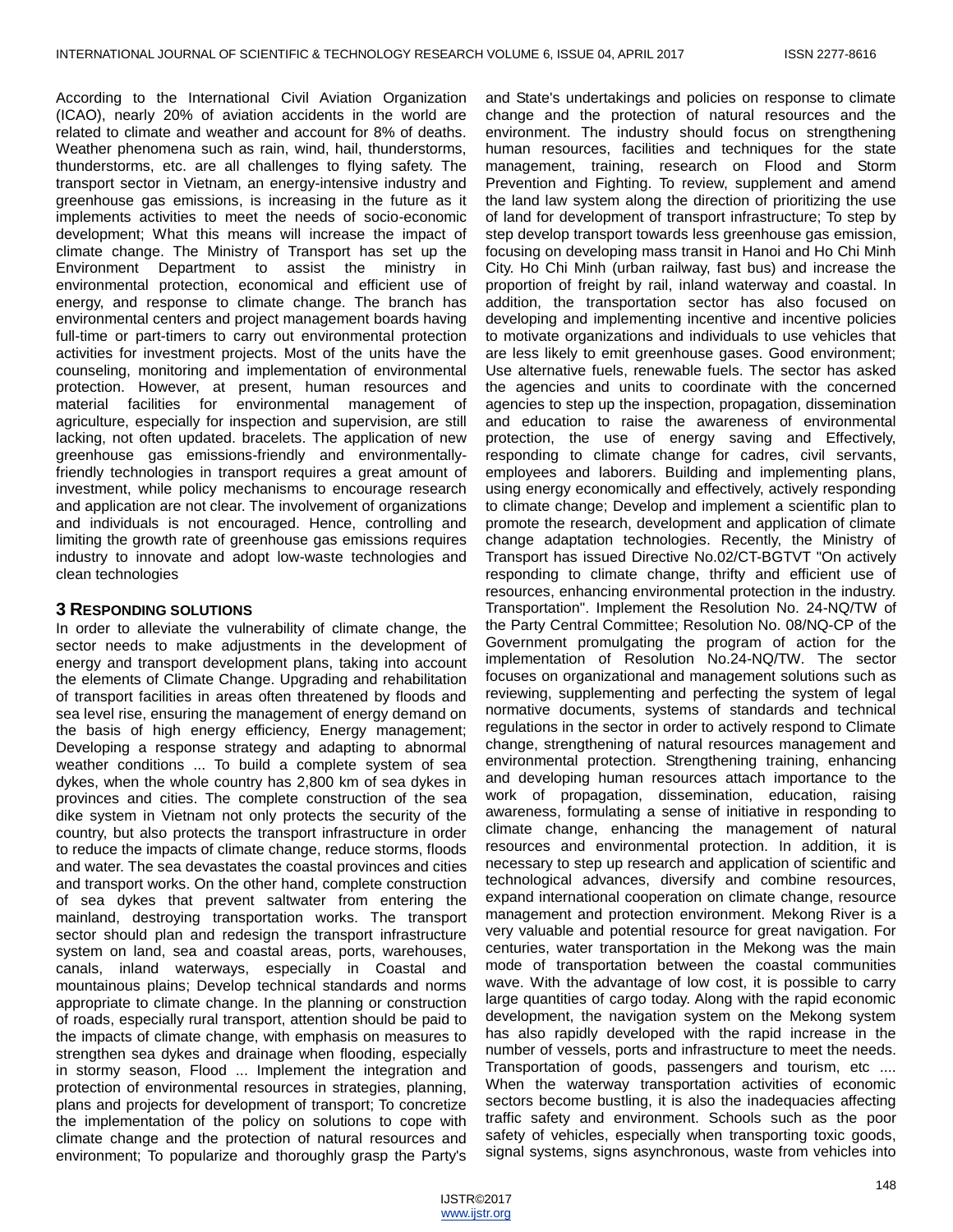According to the International Civil Aviation Organization (ICAO), nearly 20% of aviation accidents in the world are related to climate and weather and account for 8% of deaths. Weather phenomena such as rain, wind, hail, thunderstorms, thunderstorms, etc. are all challenges to flying safety. The transport sector in Vietnam, an energy-intensive industry and greenhouse gas emissions, is increasing in the future as it implements activities to meet the needs of socio-economic development; What this means will increase the impact of climate change. The Ministry of Transport has set up the Environment Department to assist the ministry in environmental protection, economical and efficient use of energy, and response to climate change. The branch has environmental centers and project management boards having full-time or part-timers to carry out environmental protection activities for investment projects. Most of the units have the counseling, monitoring and implementation of environmental protection. However, at present, human resources and material facilities for environmental management of agriculture, especially for inspection and supervision, are still lacking, not often updated. bracelets. The application of new greenhouse gas emissions-friendly and environmentallyfriendly technologies in transport requires a great amount of investment, while policy mechanisms to encourage research and application are not clear. The involvement of organizations and individuals is not encouraged. Hence, controlling and limiting the growth rate of greenhouse gas emissions requires industry to innovate and adopt low-waste technologies and clean technologies

### **3 RESPONDING SOLUTIONS**

In order to alleviate the vulnerability of climate change, the sector needs to make adjustments in the development of energy and transport development plans, taking into account the elements of Climate Change. Upgrading and rehabilitation of transport facilities in areas often threatened by floods and sea level rise, ensuring the management of energy demand on the basis of high energy efficiency, Energy management; Developing a response strategy and adapting to abnormal weather conditions ... To build a complete system of sea dykes, when the whole country has 2,800 km of sea dykes in provinces and cities. The complete construction of the sea dike system in Vietnam not only protects the security of the country, but also protects the transport infrastructure in order to reduce the impacts of climate change, reduce storms, floods and water. The sea devastates the coastal provinces and cities and transport works. On the other hand, complete construction of sea dykes that prevent saltwater from entering the mainland, destroying transportation works. The transport sector should plan and redesign the transport infrastructure system on land, sea and coastal areas, ports, warehouses, canals, inland waterways, especially in Coastal and mountainous plains; Develop technical standards and norms appropriate to climate change. In the planning or construction of roads, especially rural transport, attention should be paid to the impacts of climate change, with emphasis on measures to strengthen sea dykes and drainage when flooding, especially in stormy season, Flood ... Implement the integration and protection of environmental resources in strategies, planning, plans and projects for development of transport; To concretize the implementation of the policy on solutions to cope with climate change and the protection of natural resources and environment; To popularize and thoroughly grasp the Party's

and State's undertakings and policies on response to climate change and the protection of natural resources and the environment. The industry should focus on strengthening human resources, facilities and techniques for the state management, training, research on Flood and Storm Prevention and Fighting. To review, supplement and amend the land law system along the direction of prioritizing the use of land for development of transport infrastructure; To step by step develop transport towards less greenhouse gas emission, focusing on developing mass transit in Hanoi and Ho Chi Minh City. Ho Chi Minh (urban railway, fast bus) and increase the proportion of freight by rail, inland waterway and coastal. In addition, the transportation sector has also focused on developing and implementing incentive and incentive policies to motivate organizations and individuals to use vehicles that are less likely to emit greenhouse gases. Good environment; Use alternative fuels, renewable fuels. The sector has asked the agencies and units to coordinate with the concerned agencies to step up the inspection, propagation, dissemination and education to raise the awareness of environmental protection, the use of energy saving and Effectively, responding to climate change for cadres, civil servants, employees and laborers. Building and implementing plans, using energy economically and effectively, actively responding to climate change; Develop and implement a scientific plan to promote the research, development and application of climate change adaptation technologies. Recently, the Ministry of Transport has issued Directive No.02/CT-BGTVT "On actively responding to climate change, thrifty and efficient use of resources, enhancing environmental protection in the industry. Transportation". Implement the Resolution No. 24-NQ/TW of the Party Central Committee; Resolution No. 08/NQ-CP of the Government promulgating the program of action for the implementation of Resolution No.24-NQ/TW. The sector focuses on organizational and management solutions such as reviewing, supplementing and perfecting the system of legal normative documents, systems of standards and technical regulations in the sector in order to actively respond to Climate change, strengthening of natural resources management and environmental protection. Strengthening training, enhancing and developing human resources attach importance to the work of propagation, dissemination, education, raising awareness, formulating a sense of initiative in responding to climate change, enhancing the management of natural resources and environmental protection. In addition, it is necessary to step up research and application of scientific and technological advances, diversify and combine resources, expand international cooperation on climate change, resource management and protection environment. Mekong River is a very valuable and potential resource for great navigation. For centuries, water transportation in the Mekong was the main mode of transportation between the coastal communities wave. With the advantage of low cost, it is possible to carry large quantities of cargo today. Along with the rapid economic development, the navigation system on the Mekong system has also rapidly developed with the rapid increase in the number of vessels, ports and infrastructure to meet the needs. Transportation of goods, passengers and tourism, etc .... When the waterway transportation activities of economic sectors become bustling, it is also the inadequacies affecting traffic safety and environment. Schools such as the poor safety of vehicles, especially when transporting toxic goods, signal systems, signs asynchronous, waste from vehicles into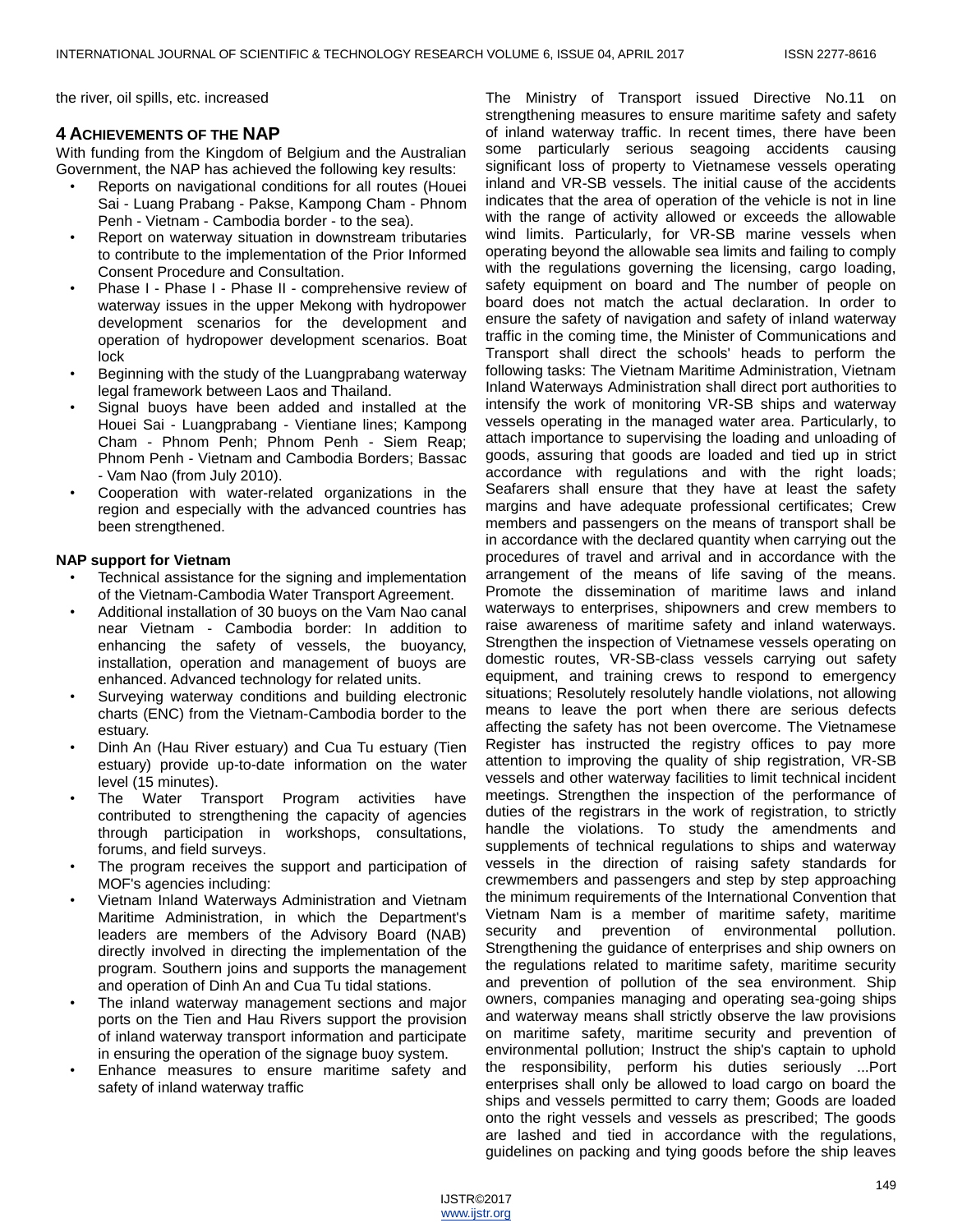the river, oil spills, etc. increased

# **4 ACHIEVEMENTS OF THE NAP**

With funding from the Kingdom of Belgium and the Australian Government, the NAP has achieved the following key results:

- Reports on navigational conditions for all routes (Houei Sai - Luang Prabang - Pakse, Kampong Cham - Phnom Penh - Vietnam - Cambodia border - to the sea).
- Report on waterway situation in downstream tributaries to contribute to the implementation of the Prior Informed Consent Procedure and Consultation.
- Phase I Phase I Phase II comprehensive review of waterway issues in the upper Mekong with hydropower development scenarios for the development and operation of hydropower development scenarios. Boat lock
- Beginning with the study of the Luangprabang waterway legal framework between Laos and Thailand.
- Signal buoys have been added and installed at the Houei Sai - Luangprabang - Vientiane lines; Kampong Cham - Phnom Penh; Phnom Penh - Siem Reap; Phnom Penh - Vietnam and Cambodia Borders; Bassac - Vam Nao (from July 2010).
- Cooperation with water-related organizations in the region and especially with the advanced countries has been strengthened.

#### **NAP support for Vietnam**

- Technical assistance for the signing and implementation of the Vietnam-Cambodia Water Transport Agreement.
- Additional installation of 30 buoys on the Vam Nao canal near Vietnam - Cambodia border: In addition to enhancing the safety of vessels, the buoyancy, installation, operation and management of buoys are enhanced. Advanced technology for related units.
- Surveying waterway conditions and building electronic charts (ENC) from the Vietnam-Cambodia border to the estuary.
- Dinh An (Hau River estuary) and Cua Tu estuary (Tien estuary) provide up-to-date information on the water level (15 minutes).
- The Water Transport Program activities have contributed to strengthening the capacity of agencies through participation in workshops, consultations, forums, and field surveys.
- The program receives the support and participation of MOF's agencies including:
- Vietnam Inland Waterways Administration and Vietnam Maritime Administration, in which the Department's leaders are members of the Advisory Board (NAB) directly involved in directing the implementation of the program. Southern joins and supports the management and operation of Dinh An and Cua Tu tidal stations.
- The inland waterway management sections and major ports on the Tien and Hau Rivers support the provision of inland waterway transport information and participate in ensuring the operation of the signage buoy system.
- Enhance measures to ensure maritime safety and safety of inland waterway traffic

The Ministry of Transport issued Directive No.11 on strengthening measures to ensure maritime safety and safety of inland waterway traffic. In recent times, there have been some particularly serious seagoing accidents causing significant loss of property to Vietnamese vessels operating inland and VR-SB vessels. The initial cause of the accidents indicates that the area of operation of the vehicle is not in line with the range of activity allowed or exceeds the allowable wind limits. Particularly, for VR-SB marine vessels when operating beyond the allowable sea limits and failing to comply with the regulations governing the licensing, cargo loading, safety equipment on board and The number of people on board does not match the actual declaration. In order to ensure the safety of navigation and safety of inland waterway traffic in the coming time, the Minister of Communications and Transport shall direct the schools' heads to perform the following tasks: The Vietnam Maritime Administration, Vietnam Inland Waterways Administration shall direct port authorities to intensify the work of monitoring VR-SB ships and waterway vessels operating in the managed water area. Particularly, to attach importance to supervising the loading and unloading of goods, assuring that goods are loaded and tied up in strict accordance with regulations and with the right loads; Seafarers shall ensure that they have at least the safety margins and have adequate professional certificates; Crew members and passengers on the means of transport shall be in accordance with the declared quantity when carrying out the procedures of travel and arrival and in accordance with the arrangement of the means of life saving of the means. Promote the dissemination of maritime laws and inland waterways to enterprises, shipowners and crew members to raise awareness of maritime safety and inland waterways. Strengthen the inspection of Vietnamese vessels operating on domestic routes, VR-SB-class vessels carrying out safety equipment, and training crews to respond to emergency situations; Resolutely resolutely handle violations, not allowing means to leave the port when there are serious defects affecting the safety has not been overcome. The Vietnamese Register has instructed the registry offices to pay more attention to improving the quality of ship registration, VR-SB vessels and other waterway facilities to limit technical incident meetings. Strengthen the inspection of the performance of duties of the registrars in the work of registration, to strictly handle the violations. To study the amendments and supplements of technical regulations to ships and waterway vessels in the direction of raising safety standards for crewmembers and passengers and step by step approaching the minimum requirements of the International Convention that Vietnam Nam is a member of maritime safety, maritime security and prevention of environmental pollution. Strengthening the guidance of enterprises and ship owners on the regulations related to maritime safety, maritime security and prevention of pollution of the sea environment. Ship owners, companies managing and operating sea-going ships and waterway means shall strictly observe the law provisions on maritime safety, maritime security and prevention of environmental pollution; Instruct the ship's captain to uphold the responsibility, perform his duties seriously ...Port enterprises shall only be allowed to load cargo on board the ships and vessels permitted to carry them; Goods are loaded onto the right vessels and vessels as prescribed; The goods are lashed and tied in accordance with the regulations, guidelines on packing and tying goods before the ship leaves